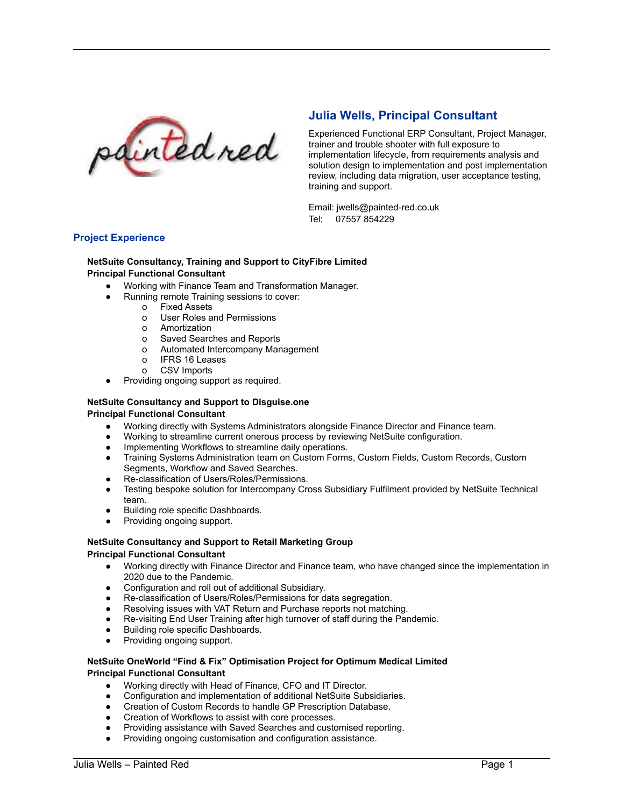

# **Julia Wells, Principal Consultant**

Experienced Functional ERP Consultant, Project Manager, trainer and trouble shooter with full exposure to implementation lifecycle, from requirements analysis and solution design to implementation and post implementation review, including data migration, user acceptance testing, training and support.

Email: [jwells@painted-red.co.uk](mailto:jwells@painted-red.co.uk) Tel: 07557 854229

## **Project Experience**

#### **NetSuite Consultancy, Training and Support to CityFibre Limited Principal Functional Consultant**

- Working with Finance Team and Transformation Manager.
	- Running remote Training sessions to cover:
		- o Fixed Assets
		- o User Roles and Permissions
		- o Amortization
		- o Saved Searches and Reports
		- o Automated Intercompany Management
		- o IFRS 16 Leases
		- o CSV Imports
- Providing ongoing support as required.

# **NetSuite Consultancy and Support to Disguise.one**

### **Principal Functional Consultant**

- Working directly with Systems Administrators alongside Finance Director and Finance team.
- Working to streamline current onerous process by reviewing NetSuite configuration.
- Implementing Workflows to streamline daily operations.
- Training Systems Administration team on Custom Forms, Custom Fields, Custom Records, Custom Segments, Workflow and Saved Searches.
- Re-classification of Users/Roles/Permissions.
- Testing bespoke solution for Intercompany Cross Subsidiary Fulfilment provided by NetSuite Technical team.
- Building role specific Dashboards.
- Providing ongoing support.

# **NetSuite Consultancy and Support to Retail Marketing Group**

## **Principal Functional Consultant**

- Working directly with Finance Director and Finance team, who have changed since the implementation in 2020 due to the Pandemic.
- Configuration and roll out of additional Subsidiary.
- Re-classification of Users/Roles/Permissions for data segregation.
- Resolving issues with VAT Return and Purchase reports not matching.
- Re-visiting End User Training after high turnover of staff during the Pandemic.
- **Building role specific Dashboards.**
- Providing ongoing support.

## **NetSuite OneWorld "Find & Fix" Optimisation Project for Optimum Medical Limited Principal Functional Consultant**

- Working directly with Head of Finance, CFO and IT Director.
- Configuration and implementation of additional NetSuite Subsidiaries.
- Creation of Custom Records to handle GP Prescription Database.
- Creation of Workflows to assist with core processes.
- Providing assistance with Saved Searches and customised reporting.
- Providing ongoing customisation and configuration assistance.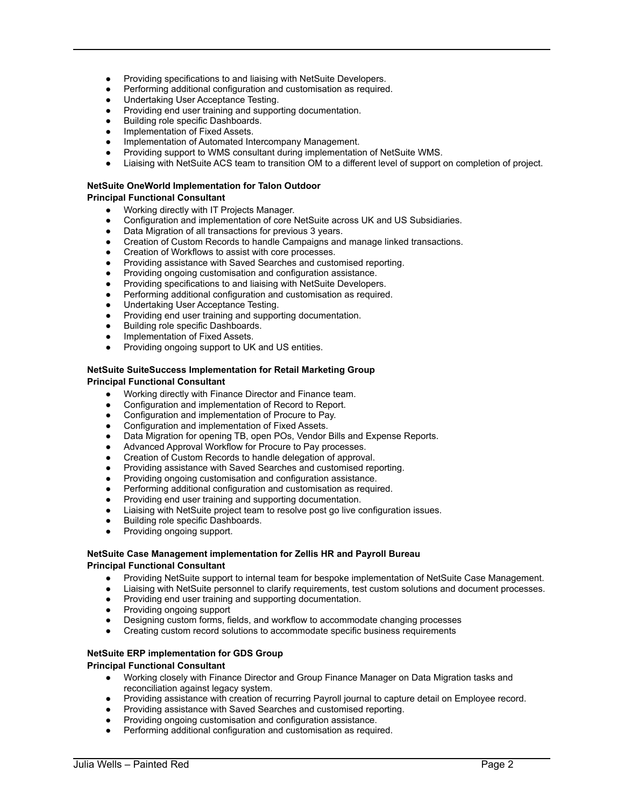- Providing specifications to and liaising with NetSuite Developers.
- Performing additional configuration and customisation as required.
- Undertaking User Acceptance Testing.
- Providing end user training and supporting documentation.
- **Building role specific Dashboards.**
- Implementation of Fixed Assets.
- Implementation of Automated Intercompany Management.
- Providing support to WMS consultant during implementation of NetSuite WMS.
- Liaising with NetSuite ACS team to transition OM to a different level of support on completion of project.

## **NetSuite OneWorld Implementation for Talon Outdoor**

## **Principal Functional Consultant**

- Working directly with IT Projects Manager.
- Configuration and implementation of core NetSuite across UK and US Subsidiaries.
- Data Migration of all transactions for previous 3 years.
- Creation of Custom Records to handle Campaigns and manage linked transactions.
- Creation of Workflows to assist with core processes.
- Providing assistance with Saved Searches and customised reporting.
- Providing ongoing customisation and configuration assistance.
- Providing specifications to and liaising with NetSuite Developers.
- Performing additional configuration and customisation as required.
- Undertaking User Acceptance Testing.
- Providing end user training and supporting documentation.
- Building role specific Dashboards.
- Implementation of Fixed Assets.
- Providing ongoing support to UK and US entities.

#### **NetSuite SuiteSuccess Implementation for Retail Marketing Group Principal Functional Consultant**

- Working directly with Finance Director and Finance team.
- Configuration and implementation of Record to Report.
- Configuration and implementation of Procure to Pay.
- Configuration and implementation of Fixed Assets.
- Data Migration for opening TB, open POs, Vendor Bills and Expense Reports.
- Advanced Approval Workflow for Procure to Pay processes.
- Creation of Custom Records to handle delegation of approval.
- Providing assistance with Saved Searches and customised reporting.
- Providing ongoing customisation and configuration assistance.
- Performing additional configuration and customisation as required.
- Providing end user training and supporting documentation.
- Liaising with NetSuite project team to resolve post go live configuration issues.
- Building role specific Dashboards.
- Providing ongoing support.

#### **NetSuite Case Management implementation for Zellis HR and Payroll Bureau Principal Functional Consultant**

- Providing NetSuite support to internal team for bespoke implementation of NetSuite Case Management.
- Liaising with NetSuite personnel to clarify requirements, test custom solutions and document processes.
- Providing end user training and supporting documentation.
- Providing ongoing support
- Designing custom forms, fields, and workflow to accommodate changing processes
- Creating custom record solutions to accommodate specific business requirements

## **NetSuite ERP implementation for GDS Group**

#### **Principal Functional Consultant**

- Working closely with Finance Director and Group Finance Manager on Data Migration tasks and reconciliation against legacy system.
- Providing assistance with creation of recurring Payroll journal to capture detail on Employee record.
- Providing assistance with Saved Searches and customised reporting.
- Providing ongoing customisation and configuration assistance.
- Performing additional configuration and customisation as required.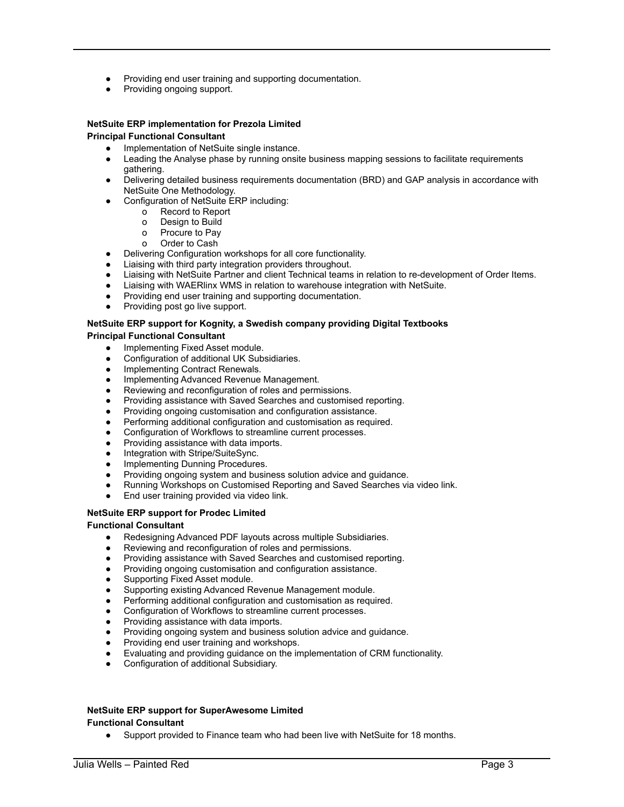- Providing end user training and supporting documentation.
- Providing ongoing support.

### **NetSuite ERP implementation for Prezola Limited Principal Functional Consultant**

- Implementation of NetSuite single instance.
- Leading the Analyse phase by running onsite business mapping sessions to facilitate requirements gathering.
- Delivering detailed business requirements documentation (BRD) and GAP analysis in accordance with NetSuite One Methodology.
	- Configuration of NetSuite ERP including:
		- o Record to Report
		- o Design to Build
		- o Procure to Pay
		- o Order to Cash
- Delivering Configuration workshops for all core functionality.
- Liaising with third party integration providers throughout.
- Liaising with NetSuite Partner and client Technical teams in relation to re-development of Order Items.
- Liaising with WAERlinx WMS in relation to warehouse integration with NetSuite.
- Providing end user training and supporting documentation.
- Providing post go live support.

# **NetSuite ERP support for Kognity, a Swedish company providing Digital Textbooks**

## **Principal Functional Consultant**

- Implementing Fixed Asset module.
- Configuration of additional UK Subsidiaries.
- Implementing Contract Renewals.
- Implementing Advanced Revenue Management.
- Reviewing and reconfiguration of roles and permissions.
- Providing assistance with Saved Searches and customised reporting.
- Providing ongoing customisation and configuration assistance.
- Performing additional configuration and customisation as required.
- Configuration of Workflows to streamline current processes.
- Providing assistance with data imports.
- Integration with Stripe/SuiteSync.
- Implementing Dunning Procedures.
- Providing ongoing system and business solution advice and guidance.
- Running Workshops on Customised Reporting and Saved Searches via video link.
- End user training provided via video link.

## **NetSuite ERP support for Prodec Limited**

#### **Functional Consultant**

- Redesigning Advanced PDF layouts across multiple Subsidiaries.
- Reviewing and reconfiguration of roles and permissions.
- Providing assistance with Saved Searches and customised reporting.
- Providing ongoing customisation and configuration assistance.
- Supporting Fixed Asset module.
- Supporting existing Advanced Revenue Management module.
- Performing additional configuration and customisation as required.
- Configuration of Workflows to streamline current processes.
- Providing assistance with data imports.
- Providing ongoing system and business solution advice and guidance.
- Providing end user training and workshops.
- Evaluating and providing guidance on the implementation of CRM functionality.
- Configuration of additional Subsidiary.

## **NetSuite ERP support for SuperAwesome Limited Functional Consultant**

● Support provided to Finance team who had been live with NetSuite for 18 months.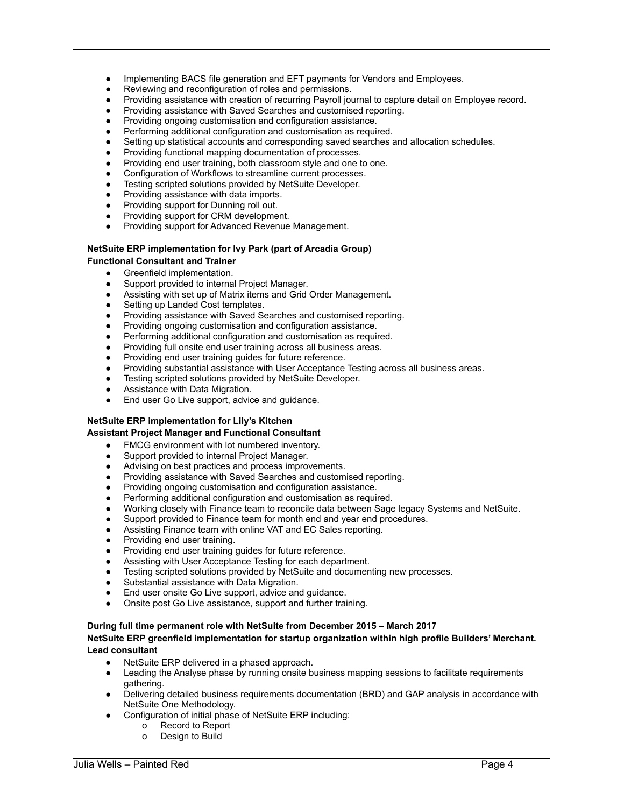- Implementing BACS file generation and EFT payments for Vendors and Employees.
- Reviewing and reconfiguration of roles and permissions.
- Providing assistance with creation of recurring Payroll journal to capture detail on Employee record.
- Providing assistance with Saved Searches and customised reporting.
- Providing ongoing customisation and configuration assistance.
- Performing additional configuration and customisation as required.
- Setting up statistical accounts and corresponding saved searches and allocation schedules.
- Providing functional mapping documentation of processes.
- Providing end user training, both classroom style and one to one.
- Configuration of Workflows to streamline current processes.
- Testing scripted solutions provided by NetSuite Developer.
- Providing assistance with data imports.
- Providing support for Dunning roll out.
- Providing support for CRM development.
- Providing support for Advanced Revenue Management.

#### **NetSuite ERP implementation for Ivy Park (part of Arcadia Group) Functional Consultant and Trainer**

- Greenfield implementation.
- Support provided to internal Project Manager.
- Assisting with set up of Matrix items and Grid Order Management.
- Setting up Landed Cost templates.
- Providing assistance with Saved Searches and customised reporting.
- Providing ongoing customisation and configuration assistance.
- Performing additional configuration and customisation as required.
- Providing full onsite end user training across all business areas.
- Providing end user training guides for future reference.
- Providing substantial assistance with User Acceptance Testing across all business areas.
- Testing scripted solutions provided by NetSuite Developer.
- Assistance with Data Migration.
- End user Go Live support, advice and quidance.

## **NetSuite ERP implementation for Lily's Kitchen**

## **Assistant Project Manager and Functional Consultant**

- FMCG environment with lot numbered inventory.
- Support provided to internal Project Manager.
- Advising on best practices and process improvements.
- Providing assistance with Saved Searches and customised reporting.
- Providing ongoing customisation and configuration assistance.
- Performing additional configuration and customisation as required.
- Working closely with Finance team to reconcile data between Sage legacy Systems and NetSuite.
- Support provided to Finance team for month end and year end procedures.
- Assisting Finance team with online VAT and EC Sales reporting.
- Providing end user training.
- Providing end user training guides for future reference.
- Assisting with User Acceptance Testing for each department.
- Testing scripted solutions provided by NetSuite and documenting new processes.
- Substantial assistance with Data Migration.
- End user onsite Go Live support, advice and guidance.
- Onsite post Go Live assistance, support and further training.

#### **During full time permanent role with NetSuite from December 2015 – March 2017 NetSuite ERP greenfield implementation for startup organization within high profile Builders' Merchant.**

#### **Lead consultant**

- NetSuite ERP delivered in a phased approach.
- Leading the Analyse phase by running onsite business mapping sessions to facilitate requirements gathering.
- Delivering detailed business requirements documentation (BRD) and GAP analysis in accordance with NetSuite One Methodology.
- Configuration of initial phase of NetSuite ERP including:
	- o Record to Report
	- o Design to Build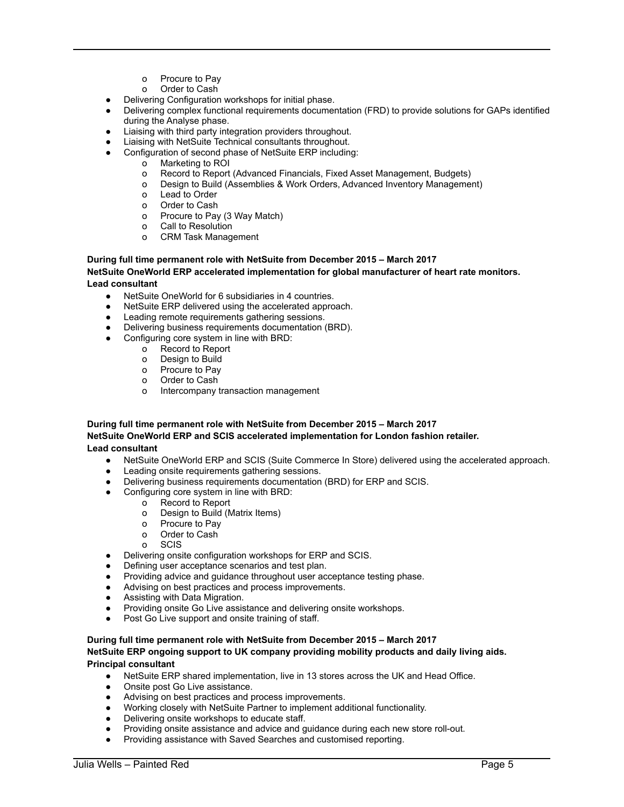- o Procure to Pay
- o Order to Cash
- Delivering Configuration workshops for initial phase.
- Delivering complex functional requirements documentation (FRD) to provide solutions for GAPs identified during the Analyse phase.
- Liaising with third party integration providers throughout.
- Liaising with NetSuite Technical consultants throughout.
- Configuration of second phase of NetSuite ERP including:
	- o Marketing to ROI
	- o Record to Report (Advanced Financials, Fixed Asset Management, Budgets)
	- o Design to Build (Assemblies & Work Orders, Advanced Inventory Management)
	- o Lead to Order
	- o Order to Cash
	- o Procure to Pay (3 Way Match)
	- o Call to Resolution
	- o CRM Task Management

## **During full time permanent role with NetSuite from December 2015 – March 2017**

**NetSuite OneWorld ERP accelerated implementation for global manufacturer of heart rate monitors. Lead consultant**

- NetSuite OneWorld for 6 subsidiaries in 4 countries.
- NetSuite ERP delivered using the accelerated approach.
- Leading remote requirements gathering sessions.
- Delivering business requirements documentation (BRD).
- Configuring core system in line with BRD:
	- o Record to Report
	- o Design to Build
	- o Procure to Pay
	- o Order to Cash
	- o Intercompany transaction management

## **During full time permanent role with NetSuite from December 2015 – March 2017 NetSuite OneWorld ERP and SCIS accelerated implementation for London fashion retailer. Lead consultant**

- NetSuite OneWorld ERP and SCIS (Suite Commerce In Store) delivered using the accelerated approach.
- Leading onsite requirements gathering sessions.
- Delivering business requirements documentation (BRD) for ERP and SCIS.
- Configuring core system in line with BRD:
	- o Record to Report
	- o Design to Build (Matrix Items)
	- o Procure to Pay
	- o Order to Cash
	- o SCIS
- Delivering onsite configuration workshops for ERP and SCIS.
- Defining user acceptance scenarios and test plan.
- Providing advice and guidance throughout user acceptance testing phase.
- Advising on best practices and process improvements.
- Assisting with Data Migration.
- Providing onsite Go Live assistance and delivering onsite workshops.
- Post Go Live support and onsite training of staff.

## **During full time permanent role with NetSuite from December 2015 – March 2017**

#### **NetSuite ERP ongoing support to UK company providing mobility products and daily living aids. Principal consultant**

- NetSuite ERP shared implementation, live in 13 stores across the UK and Head Office.
- Onsite post Go Live assistance.
- Advising on best practices and process improvements.
- Working closely with NetSuite Partner to implement additional functionality.
- Delivering onsite workshops to educate staff.
- Providing onsite assistance and advice and guidance during each new store roll-out.
- Providing assistance with Saved Searches and customised reporting.